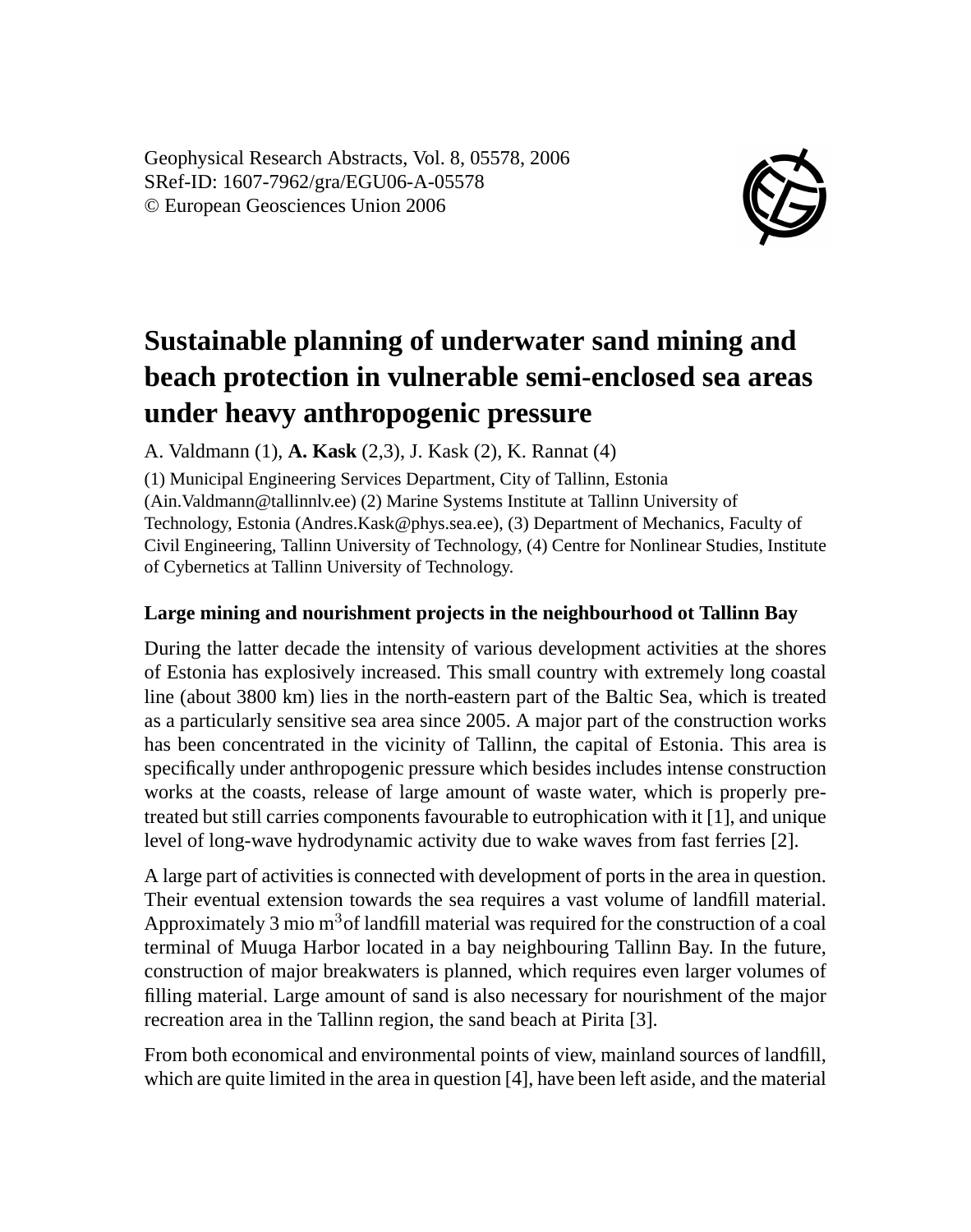Geophysical Research Abstracts, Vol. 8, 05578, 2006 SRef-ID: 1607-7962/gra/EGU06-A-05578 © European Geosciences Union 2006



# **Sustainable planning of underwater sand mining and beach protection in vulnerable semi-enclosed sea areas under heavy anthropogenic pressure**

A. Valdmann (1), **A. Kask** (2,3), J. Kask (2), K. Rannat (4)

(1) Municipal Engineering Services Department, City of Tallinn, Estonia (Ain.Valdmann@tallinnlv.ee) (2) Marine Systems Institute at Tallinn University of Technology, Estonia (Andres.Kask@phys.sea.ee), (3) Department of Mechanics, Faculty of Civil Engineering, Tallinn University of Technology, (4) Centre for Nonlinear Studies, Institute of Cybernetics at Tallinn University of Technology.

### **Large mining and nourishment projects in the neighbourhood ot Tallinn Bay**

During the latter decade the intensity of various development activities at the shores of Estonia has explosively increased. This small country with extremely long coastal line (about 3800 km) lies in the north-eastern part of the Baltic Sea, which is treated as a particularly sensitive sea area since 2005. A major part of the construction works has been concentrated in the vicinity of Tallinn, the capital of Estonia. This area is specifically under anthropogenic pressure which besides includes intense construction works at the coasts, release of large amount of waste water, which is properly pretreated but still carries components favourable to eutrophication with it [1], and unique level of long-wave hydrodynamic activity due to wake waves from fast ferries [2].

A large part of activities is connected with development of ports in the area in question. Their eventual extension towards the sea requires a vast volume of landfill material. Approximately 3 mio  $m<sup>3</sup>$  of landfill material was required for the construction of a coal terminal of Muuga Harbor located in a bay neighbouring Tallinn Bay. In the future, construction of major breakwaters is planned, which requires even larger volumes of filling material. Large amount of sand is also necessary for nourishment of the major recreation area in the Tallinn region, the sand beach at Pirita [3].

From both economical and environmental points of view, mainland sources of landfill, which are quite limited in the area in question [4], have been left aside, and the material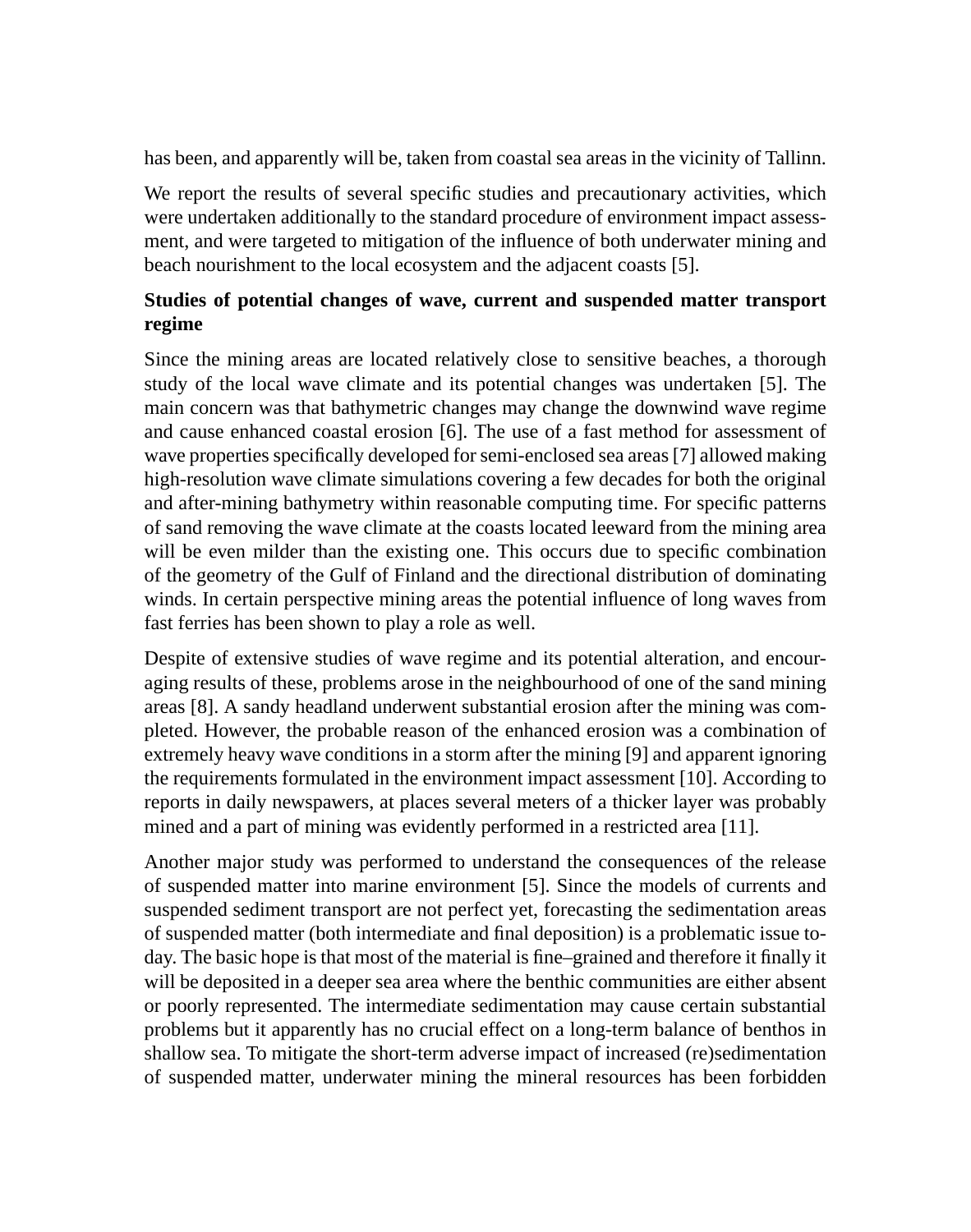has been, and apparently will be, taken from coastal sea areas in the vicinity of Tallinn.

We report the results of several specific studies and precautionary activities, which were undertaken additionally to the standard procedure of environment impact assessment, and were targeted to mitigation of the influence of both underwater mining and beach nourishment to the local ecosystem and the adjacent coasts [5].

## **Studies of potential changes of wave, current and suspended matter transport regime**

Since the mining areas are located relatively close to sensitive beaches, a thorough study of the local wave climate and its potential changes was undertaken [5]. The main concern was that bathymetric changes may change the downwind wave regime and cause enhanced coastal erosion [6]. The use of a fast method for assessment of wave properties specifically developed for semi-enclosed sea areas [7] allowed making high-resolution wave climate simulations covering a few decades for both the original and after-mining bathymetry within reasonable computing time. For specific patterns of sand removing the wave climate at the coasts located leeward from the mining area will be even milder than the existing one. This occurs due to specific combination of the geometry of the Gulf of Finland and the directional distribution of dominating winds. In certain perspective mining areas the potential influence of long waves from fast ferries has been shown to play a role as well.

Despite of extensive studies of wave regime and its potential alteration, and encouraging results of these, problems arose in the neighbourhood of one of the sand mining areas [8]. A sandy headland underwent substantial erosion after the mining was completed. However, the probable reason of the enhanced erosion was a combination of extremely heavy wave conditions in a storm after the mining [9] and apparent ignoring the requirements formulated in the environment impact assessment [10]. According to reports in daily newspawers, at places several meters of a thicker layer was probably mined and a part of mining was evidently performed in a restricted area [11].

Another major study was performed to understand the consequences of the release of suspended matter into marine environment [5]. Since the models of currents and suspended sediment transport are not perfect yet, forecasting the sedimentation areas of suspended matter (both intermediate and final deposition) is a problematic issue today. The basic hope is that most of the material is fine–grained and therefore it finally it will be deposited in a deeper sea area where the benthic communities are either absent or poorly represented. The intermediate sedimentation may cause certain substantial problems but it apparently has no crucial effect on a long-term balance of benthos in shallow sea. To mitigate the short-term adverse impact of increased (re)sedimentation of suspended matter, underwater mining the mineral resources has been forbidden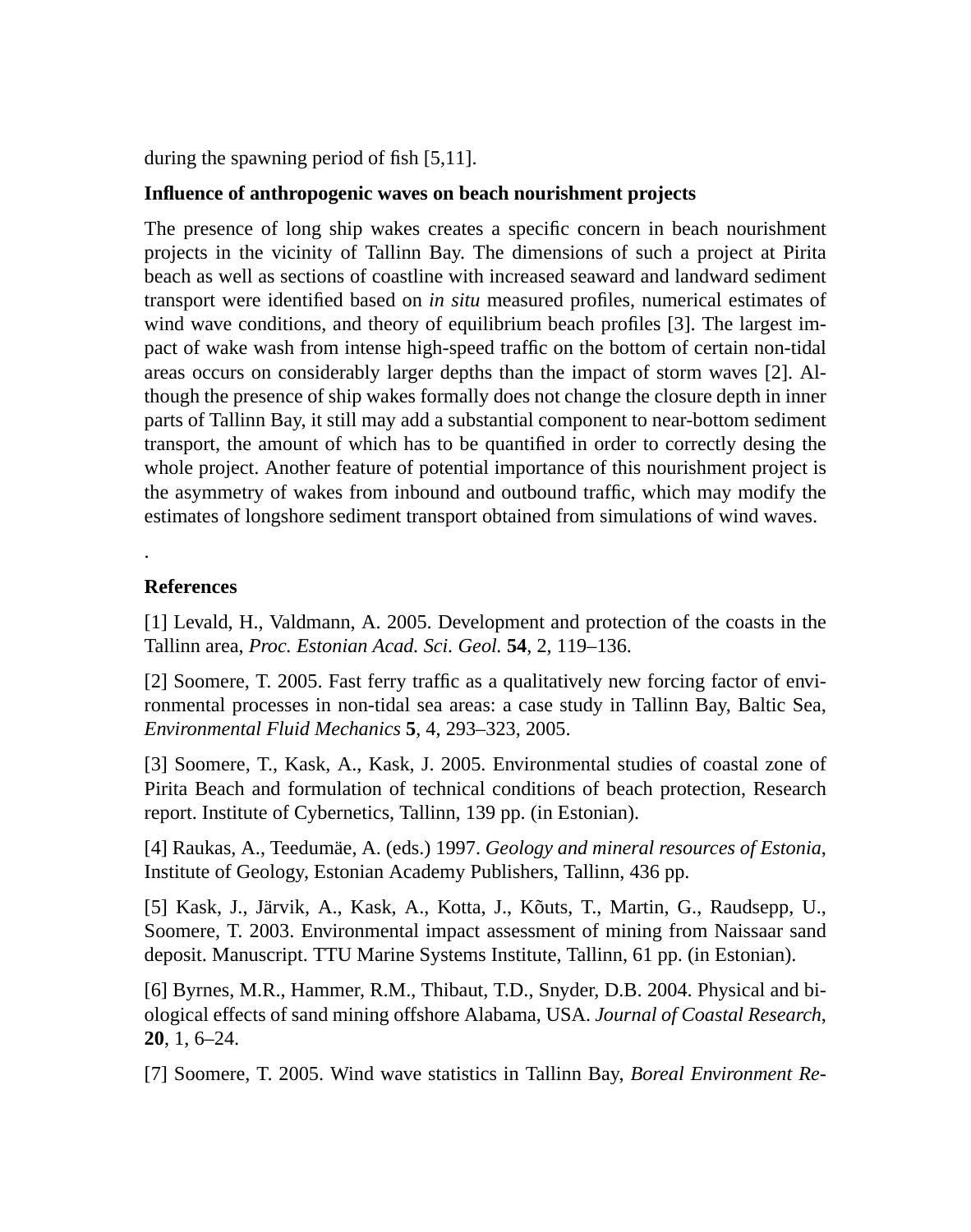during the spawning period of fish [5,11].

#### **Influence of anthropogenic waves on beach nourishment projects**

The presence of long ship wakes creates a specific concern in beach nourishment projects in the vicinity of Tallinn Bay. The dimensions of such a project at Pirita beach as well as sections of coastline with increased seaward and landward sediment transport were identified based on *in situ* measured profiles, numerical estimates of wind wave conditions, and theory of equilibrium beach profiles [3]. The largest impact of wake wash from intense high-speed traffic on the bottom of certain non-tidal areas occurs on considerably larger depths than the impact of storm waves [2]. Although the presence of ship wakes formally does not change the closure depth in inner parts of Tallinn Bay, it still may add a substantial component to near-bottom sediment transport, the amount of which has to be quantified in order to correctly desing the whole project. Another feature of potential importance of this nourishment project is the asymmetry of wakes from inbound and outbound traffic, which may modify the estimates of longshore sediment transport obtained from simulations of wind waves.

#### **References**

.

[1] Levald, H., Valdmann, A. 2005. Development and protection of the coasts in the Tallinn area, *Proc. Estonian Acad. Sci. Geol.* **54**, 2, 119–136.

[2] Soomere, T. 2005. Fast ferry traffic as a qualitatively new forcing factor of environmental processes in non-tidal sea areas: a case study in Tallinn Bay, Baltic Sea, *Environmental Fluid Mechanics* **5**, 4, 293–323, 2005.

[3] Soomere, T., Kask, A., Kask, J. 2005. Environmental studies of coastal zone of Pirita Beach and formulation of technical conditions of beach protection, Research report. Institute of Cybernetics, Tallinn, 139 pp. (in Estonian).

[4] Raukas, A., Teedumäe, A. (eds.) 1997. *Geology and mineral resources of Estonia*, Institute of Geology, Estonian Academy Publishers, Tallinn, 436 pp.

[5] Kask, J., Järvik, A., Kask, A., Kotta, J., Kõuts, T., Martin, G., Raudsepp, U., Soomere, T. 2003. Environmental impact assessment of mining from Naissaar sand deposit. Manuscript. TTU Marine Systems Institute, Tallinn, 61 pp. (in Estonian).

[6] Byrnes, M.R., Hammer, R.M., Thibaut, T.D., Snyder, D.B. 2004. Physical and biological effects of sand mining offshore Alabama, USA. *Journal of Coastal Research*, **20**, 1, 6–24.

[7] Soomere, T. 2005. Wind wave statistics in Tallinn Bay, *Boreal Environment Re-*